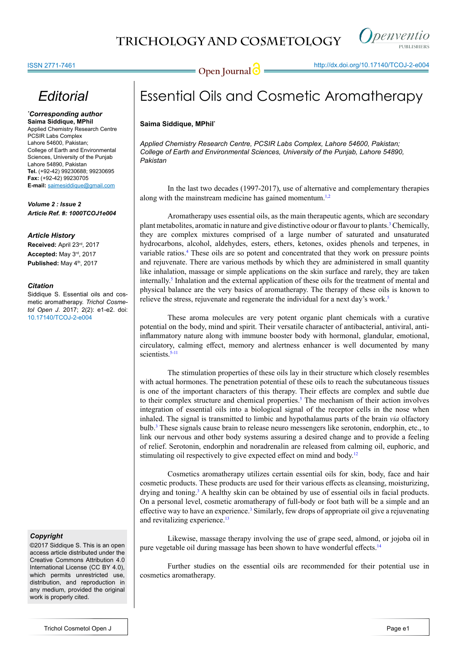

## *Editorial*

#### *\* Corresponding author* **Saima Siddique, MPhil**

Applied Chemistry Research Centre PCSIR Labs Complex Lahore 54600, Pakistan; College of Earth and Environmental Sciences, University of the Punjab Lahore 54890, Pakistan **Tel.** (+92-42) 99230688; 99230695 **Fax:** (+92-42) 99230705 **E-mail:** saimesiddique@gmail.com

*Volume 2 : Issue 2 Article Ref. #: 1000TCOJ1e004*

#### *Article History*

**Received:** April 23rd, 2017 **Accepted:** May 3rd, 2017 Published: May 4<sup>th</sup>, 2017

#### *Citation*

Siddique S. Essential oils and cosmetic aromatherapy. *Trichol Cosmetol Open J*. 2017; 2(2): e1-e2. doi: [10.17140/TCOJ-2-e004](http://dx.doi.org/10.17140/TCOJ-2-e004)

### *Copyright*

©2017 Siddique S. This is an open access article distributed under the Creative Commons Attribution 4.0 International License (CC BY 4.0), which permits unrestricted use, distribution, and reproduction in any medium, provided the original work is properly cited.

# Essential Oils and Cosmetic Aromatherapy

#### **Saima Siddique, MPhil\***

*Applied Chemistry Research Centre, PCSIR Labs Complex, Lahore 54600, Pakistan; College of Earth and Environmental Sciences, University of the Punjab, Lahore 54890, Pakistan*

In the last two decades (1997-2017), use of alternative and complementary therapies along with the mainstream medicine has gained momentum.<sup>1,2</sup>

Aromatherapy uses essential oils, as the main therapeutic agents, which are secondary plant metabolites, aromatic in nature and give distinctive odour or flavour to plants.[3](#page-1-1) Chemically, they are complex mixtures comprised of a large number of saturated and unsaturated hydrocarbons, alcohol, aldehydes, esters, ethers, ketones, oxides phenols and terpenes, in variable ratios.[4](#page-1-2) These oils are so potent and concentrated that they work on pressure points and rejuvenate. There are various methods by which they are administered in small quantity like inhalation, massage or simple applications on the skin surface and rarely, they are taken internally.[5](#page-1-3) Inhalation and the external application of these oils for the treatment of mental and physical balance are the very basics of aromatherapy. The therapy of these oils is known to relieve the stress, rejuvenate and regenerate the individual for a next day's work.<sup>5</sup>

These aroma molecules are very potent organic plant chemicals with a curative potential on the body, mind and spirit. Their versatile character of antibacterial, antiviral, antiinflammatory nature along with immune booster body with hormonal, glandular, emotional, circulatory, calming effect, memory and alertness enhancer is well documented by many scientists.<sup>[5-11](#page-1-3)</sup>

The stimulation properties of these oils lay in their structure which closely resembles with actual hormones. The penetration potential of these oils to reach the subcutaneous tissues is one of the important characters of this therapy. Their effects are complex and subtle due to their complex structure and chemical properties.<sup>[5](#page-1-3)</sup> The mechanism of their action involves integration of essential oils into a biological signal of the receptor cells in the nose when inhaled. The signal is transmitted to limbic and hypothalamus parts of the brain *via* olfactory bulb.[3](#page-1-2) These signals cause brain to release neuro messengers like serotonin, endorphin, etc., to link our nervous and other body systems assuring a desired change and to provide a feeling of relief. Serotonin, endorphin and noradrenalin are released from calming oil, euphoric, and stimulating oil respectively to give expected effect on mind and body.<sup>[12](#page-1-4)</sup>

Cosmetics aromatherapy utilizes certain essential oils for skin, body, face and hair cosmetic products. These products are used for their various effects as cleansing, moisturizing, drying and toning.<sup>[3](#page-1-1)</sup> A healthy skin can be obtained by use of essential oils in facial products. On a personal level, cosmetic aromatherapy of full-body or foot bath will be a simple and an effective way to have an experience.<sup>[3](#page-1-1)</sup> Similarly, few drops of appropriate oil give a rejuvenating and revitalizing experience.<sup>13</sup>

Likewise, massage therapy involving the use of grape seed, almond, or jojoba oil in pure vegetable oil during massage has been shown to have wonderful effects.<sup>[14](#page-1-6)</sup>

Further studies on the essential oils are recommended for their potential use in cosmetics aromatherapy.